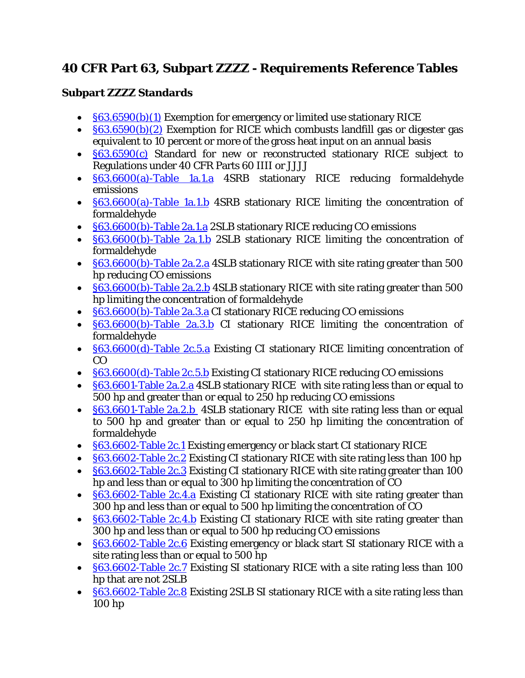## **40 CFR Part 63, Subpart ZZZZ - Requirements Reference Tables**

## **Subpart ZZZZ Standards**

- §63.6590(b)(1) Exemption for emergency or limited use stationary RICE
- [§63.6590\(b\)\(2\)](https://www.tceq.texas.gov/downloads/permitting/air-rules/federal/40-cfr-63/r63zzzz.pdf) Exemption for RICE which combusts landfill gas or digester gas equivalent to 10 percent or more of the gross heat input on an annual basis
- [§63.6590\(c\)](https://www.tceq.texas.gov/downloads/permitting/air-rules/federal/40-cfr-63/r63zzzz.pdf) Standard for new or reconstructed stationary RICE subject to Regulations under 40 CFR Parts 60 IIII or JJJJ
- [§63.6600\(a\)-Table 1a.1.a](https://www.tceq.texas.gov/downloads/permitting/air-rules/federal/40-cfr-63/r63zzzz.pdf) 4SRB stationary RICE reducing formaldehyde emissions
- [§63.6600\(a\)-Table 1a.1.b](https://www.tceq.texas.gov/downloads/permitting/air-rules/federal/40-cfr-63/r63zzzz.pdf#page=2) 4SRB stationary RICE limiting the concentration of formaldehyde
- [§63.6600\(b\)-Table 2a.1.a](https://www.tceq.texas.gov/downloads/permitting/air-rules/federal/40-cfr-63/r63zzzz.pdf#page=3) 2SLB stationary RICE reducing CO emissions
- [§63.6600\(b\)-Table 2a.1.b](https://www.tceq.texas.gov/downloads/permitting/air-rules/federal/40-cfr-63/r63zzzz.pdf#page=4) 2SLB stationary RICE limiting the concentration of formaldehyde
- [§63.6600\(b\)-Table 2a.2.a](https://www.tceq.texas.gov/downloads/permitting/air-rules/federal/40-cfr-63/r63zzzz.pdf#page=5) 4SLB stationary RICE with site rating greater than 500 hp reducing CO emissions
- [§63.6600\(b\)-Table 2a.2.b](https://www.tceq.texas.gov/downloads/permitting/air-rules/federal/40-cfr-63/r63zzzz.pdf#page=6) 4SLB stationary RICE with site rating greater than 500 hp limiting the concentration of formaldehyde
- [§63.6600\(b\)-Table 2a.3.a](https://www.tceq.texas.gov/downloads/permitting/air-rules/federal/40-cfr-63/r63zzzz.pdf#page=7) CI stationary RICE reducing CO emissions
- [§63.6600\(b\)-Table 2a.3.b](https://www.tceq.texas.gov/downloads/permitting/air-rules/federal/40-cfr-63/r63zzzz.pdf#page=7) CI stationary RICE limiting the concentration of formaldehyde
- [§63.6600\(d\)-Table 2c.5.a](https://www.tceq.texas.gov/downloads/permitting/air-rules/federal/40-cfr-63/r63zzzz.pdf#page=9) Existing CI stationary RICE limiting concentration of CO
- [§63.6600\(d\)-Table 2c.5.b](https://www.tceq.texas.gov/downloads/permitting/air-rules/federal/40-cfr-63/r63zzzz.pdf#page=10) Existing CI stationary RICE reducing CO emissions
- [§63.6601-Table 2a.2.a](https://www.tceq.texas.gov/downloads/permitting/air-rules/federal/40-cfr-63/r63zzzz.pdf#page=11) 4SLB stationary RICE with site rating less than or equal to 500 hp and greater than or equal to 250 hp reducing CO emissions
- [§63.6601-Table 2a.2.b 4](https://www.tceq.texas.gov/downloads/permitting/air-rules/federal/40-cfr-63/r63zzzz.pdf#page=12)SLB stationary RICE with site rating less than or equal to 500 hp and greater than or equal to 250 hp limiting the concentration of formaldehyde
- **[§63.6602-Table 2c.1](https://www.tceq.texas.gov/downloads/permitting/air-rules/federal/40-cfr-63/r63zzzz.pdf#page=13)** Existing emergency or black start CI stationary RICE
- §63.6602-Table 2c.2 Existing CI stationary RICE with site rating less than 100 hp
- [§63.6602-Table 2c.3](https://www.tceq.texas.gov/downloads/permitting/air-rules/federal/40-cfr-63/r63zzzz.pdf#page=14) Existing CI stationary RICE with site rating greater than 100 hp and less than or equal to 300 hp limiting the concentration of CO
- [§63.6602-Table 2c.4.a](https://www.tceq.texas.gov/downloads/permitting/air-rules/federal/40-cfr-63/r63zzzz.pdf#page=15) Existing CI stationary RICE with site rating greater than 300 hp and less than or equal to 500 hp limiting the concentration of CO
- [§63.6602-Table 2c.4.b](https://www.tceq.texas.gov/downloads/permitting/air-rules/federal/40-cfr-63/r63zzzz.pdf#page=15) Existing CI stationary RICE with site rating greater than 300 hp and less than or equal to 500 hp reducing CO emissions
- [§63.6602-Table 2c.6](https://www.tceq.texas.gov/downloads/permitting/air-rules/federal/40-cfr-63/r63zzzz.pdf#page=16) Existing emergency or black start SI stationary RICE with a site rating less than or equal to 500 hp
- **[§63.6602-Table 2c.7](https://www.tceq.texas.gov/downloads/permitting/air-rules/federal/40-cfr-63/r63zzzz.pdf#page=16)** Existing SI stationary RICE with a site rating less than 100 hp that are not 2SLB
- [§63.6602-Table 2c.8](https://www.tceq.texas.gov/downloads/permitting/air-rules/federal/40-cfr-63/r63zzzz.pdf#page=17) Existing 2SLB SI stationary RICE with a site rating less than 100 hp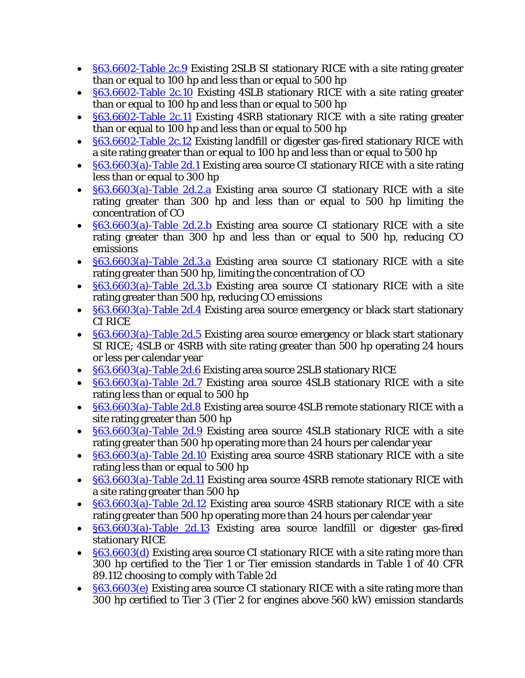- [§63.6602-Table 2c.9](https://www.tceq.texas.gov/downloads/permitting/air-rules/federal/40-cfr-63/r63zzzz.pdf#page=17) Existing 2SLB SI stationary RICE with a site rating greater than or equal to 100 hp and less than or equal to 500 hp
- [§63.6602-Table 2c.10](https://www.tceq.texas.gov/downloads/permitting/air-rules/federal/40-cfr-63/r63zzzz.pdf#page=18) Existing 4SLB stationary RICE with a site rating greater than or equal to 100 hp and less than or equal to 500 hp
- [§63.6602-Table 2c.11](https://www.tceq.texas.gov/downloads/permitting/air-rules/federal/40-cfr-63/r63zzzz.pdf#page=18) Existing 4SRB stationary RICE with a site rating greater than or equal to 100 hp and less than or equal to 500 hp
- [§63.6602-Table 2c.12](https://www.tceq.texas.gov/downloads/permitting/air-rules/federal/40-cfr-63/r63zzzz.pdf#page=19) Existing landfill or digester gas-fired stationary RICE with a site rating greater than or equal to 100 hp and less than or equal to 500 hp
- [§63.6603\(a\)-Table 2d.1](https://www.tceq.texas.gov/downloads/permitting/air-rules/federal/40-cfr-63/r63zzzz.pdf#page=20) Existing area source CI stationary RICE with a site rating less than or equal to 300 hp
- **[§63.6603\(a\)-Table 2d.2.a](https://www.tceq.texas.gov/downloads/permitting/air-rules/federal/40-cfr-63/r63zzzz.pdf#page=20)** Existing area source CI stationary RICE with a site rating greater than 300 hp and less than or equal to  $500$  hp limiting the concentration of CO
- **[§63.6603\(a\)-Table 2d.2.b](https://www.tceq.texas.gov/downloads/permitting/air-rules/federal/40-cfr-63/r63zzzz.pdf#page=21)** Existing area source CI stationary RICE with a site rating greater than 300 hp and less than or equal to 500 hp, reducing CO emissions
- [§63.6603\(a\)-Table 2d.3.a](https://www.tceq.texas.gov/downloads/permitting/air-rules/federal/40-cfr-63/r63zzzz.pdf#page=21) Existing area source CI stationary RICE with a site rating greater than 500 hp, limiting the concentration of CO
- [§63.6603\(a\)-Table 2d.3.b](https://www.tceq.texas.gov/downloads/permitting/air-rules/federal/40-cfr-63/r63zzzz.pdf#page=23) Existing area source CI stationary RICE with a site rating greater than 500 hp, reducing CO emissions
- [§63.6603\(a\)-Table 2d.4](https://www.tceq.texas.gov/downloads/permitting/air-rules/federal/40-cfr-63/r63zzzz.pdf#page=24) Existing area source emergency or black start stationary CI RICE
- [§63.6603\(a\)-Table 2d.5](https://www.tceq.texas.gov/downloads/permitting/air-rules/federal/40-cfr-63/r63zzzz.pdf#page=24) Existing area source emergency or black start stationary SI RICE; 4SLB or 4SRB with site rating greater than 500 hp operating 24 hours or less per calendar year
- [§63.6603\(a\)-Table 2d.6](https://www.tceq.texas.gov/downloads/permitting/air-rules/federal/40-cfr-63/r63zzzz.pdf#page=25) Existing area source 2SLB stationary RICE
- [§63.6603\(a\)-Table 2d.7](https://www.tceq.texas.gov/downloads/permitting/air-rules/federal/40-cfr-63/r63zzzz.pdf#page=25) Existing area source 4SLB stationary RICE with a site rating less than or equal to 500 hp
- [§63.6603\(a\)-Table 2d.8](https://www.tceq.texas.gov/downloads/permitting/air-rules/federal/40-cfr-63/r63zzzz.pdf#page=25) Existing area source 4SLB remote stationary RICE with a site rating greater than 500 hp
- [§63.6603\(a\)-Table 2d.9](https://www.tceq.texas.gov/downloads/permitting/air-rules/federal/40-cfr-63/r63zzzz.pdf#page=25) Existing area source 4SLB stationary RICE with a site rating greater than 500 hp operating more than 24 hours per calendar year
- [§63.6603\(a\)-Table 2d.10](https://www.tceq.texas.gov/downloads/permitting/air-rules/federal/40-cfr-63/r63zzzz.pdf#page=25) Existing area source 4SRB stationary RICE with a site rating less than or equal to 500 hp
- [§63.6603\(a\)-Table 2d.11](https://www.tceq.texas.gov/downloads/permitting/air-rules/federal/40-cfr-63/r63zzzz.pdf#page=26) Existing area source 4SRB remote stationary RICE with a site rating greater than 500 hp
- [§63.6603\(a\)-Table 2d.12](https://www.tceq.texas.gov/downloads/permitting/air-rules/federal/40-cfr-63/r63zzzz.pdf#page=27) Existing area source 4SRB stationary RICE with a site rating greater than 500 hp operating more than 24 hours per calendar year
- [§63.6603\(a\)-Table 2d.13](https://www.tceq.texas.gov/downloads/permitting/air-rules/federal/40-cfr-63/r63zzzz.pdf#page=28) Existing area source landfill or digester gas-fired stationary RICE
- [§63.6603\(d\)](https://www.tceq.texas.gov/downloads/permitting/air-rules/federal/40-cfr-63/r63zzzz.pdf#page=28) Existing area source CI stationary RICE with a site rating more than 300 hp certified to the Tier 1 or Tier emission standards in Table 1 of 40 CFR 89.112 choosing to comply with Table 2d
- [§63.6603\(e\)](https://www.tceq.texas.gov/downloads/permitting/air-rules/federal/40-cfr-63/r63zzzz.pdf#page=28) Existing area source CI stationary RICE with a site rating more than 300 hp certified to Tier 3 (Tier 2 for engines above 560 kW) emission standards